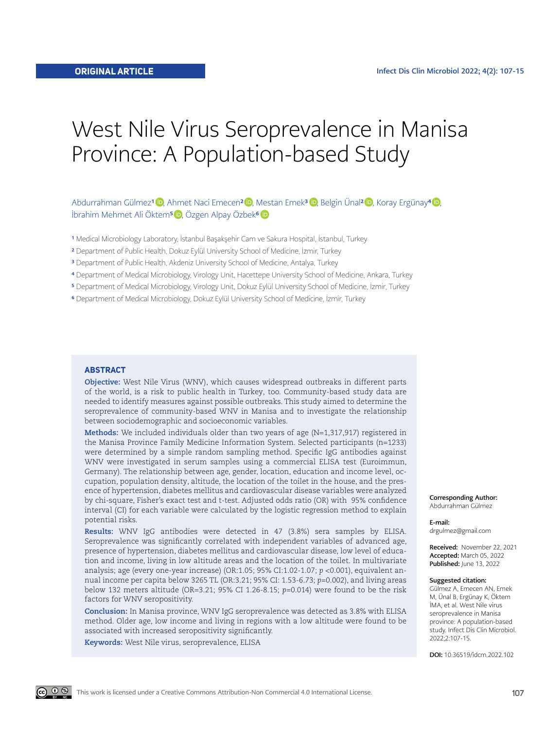# West Nile Virus Seroprevalence in Manisa Province: A Population-based Study

Abdurrahman Gülmez<sup>1</sup> <sup>(D</sup>. Ahmet Naci Emecen<sup>[2](https://orcid.org/0000-0002-4354-8266) (D</sup>. Mestan Emek<sup>3 (D</sup>. Belgin Ünal<sup>2 (D</sup>. Koray Ergünay<sup>4 (D</sup>. İbrahim Mehmet Ali Öktem<sup>5</sup> D, Özgen Alpay Özbek<sup>[6](https://orcid.org/0000-0003-4415-7205)</sup> D

- <sup>1</sup> Medical Microbiology Laboratory, İstanbul Başakşehir Cam ve Sakura Hospital, İstanbul, Turkey
- 2 Department of Public Health, Dokuz Eylül University School of Medicine, İzmir, Turkey
- 3 Department of Public Health, Akdeniz University School of Medicine, Antalya, Turkey
- 4 Department of Medical Microbiology, Virology Unit, Hacettepe University School of Medicine, Ankara, Turkey
- 5 Department of Medical Microbiology, Virology Unit, Dokuz Eylül University School of Medicine, İzmir, Turkey
- 6 Department of Medical Microbiology, Dokuz Eylül University School of Medicine, İzmir, Turkey

#### **ABSTRACT**

**Objective:** West Nile Virus (WNV), which causes widespread outbreaks in different parts of the world, is a risk to public health in Turkey, too. Community-based study data are needed to identify measures against possible outbreaks. This study aimed to determine the seroprevalence of community-based WNV in Manisa and to investigate the relationship between sociodemographic and socioeconomic variables.

**Methods:** We included individuals older than two years of age (N=1,317,917) registered in the Manisa Province Family Medicine Information System. Selected participants (n=1233) were determined by a simple random sampling method. Specific IgG antibodies against WNV were investigated in serum samples using a commercial ELISA test (Euroimmun, Germany). The relationship between age, gender, location, education and income level, occupation, population density, altitude, the location of the toilet in the house, and the presence of hypertension, diabetes mellitus and cardiovascular disease variables were analyzed by chi-square, Fisher's exact test and t-test. Adjusted odds ratio (OR) with 95% confidence interval (CI) for each variable were calculated by the logistic regression method to explain potential risks.

**Results:** WNV IgG antibodies were detected in 47 (3.8%) sera samples by ELISA. Seroprevalence was significantly correlated with independent variables of advanced age, presence of hypertension, diabetes mellitus and cardiovascular disease, low level of education and income, living in low altitude areas and the location of the toilet. In multivariate analysis; age (every one-year increase) (OR:1.05; 95% CI:1.02-1.07; *p* <0.001), equivalent annual income per capita below 3265 TL (OR:3.21; 95% CI: 1.53-6.73; *p*=0.002), and living areas below 132 meters altitude (OR=3.21; 95% CI 1.26-8.15; *p*=0.014) were found to be the risk factors for WNV seropositivity.

**Conclusion:** In Manisa province, WNV IgG seroprevalence was detected as 3.8% with ELISA method. Older age, low income and living in regions with a low altitude were found to be associated with increased seropositivity significantly.

**Keywords:** West Nile virus, seroprevalence, ELISA

Corresponding Author: Abdurrahman Gülmez

E-mail: drgulmez@gmail.com

Received: November 22, 2021 Accepted: March 05, 2022 Published: June 13, 2022

#### Suggested citation:

Gülmez A, Emecen AN, Emek M, Ünal B, Ergünay K, Öktem İMA, et al. West Nile virus seroprevalence in Manisa province: A population-based study. Infect Dis Clin Microbiol. 2022;2:107-15.

DOI: 10.36519/idcm.2022.102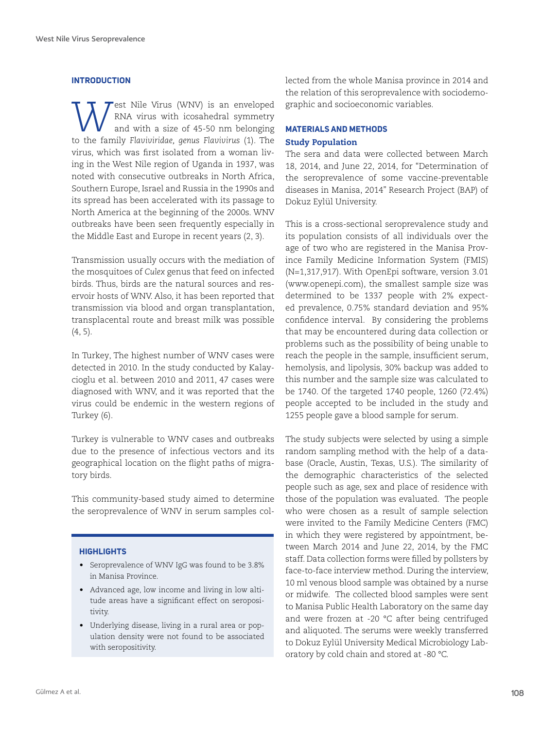## **INTRODUCTION**

**WALLAND** est Nile Virus (WNV) is an enveloped<br>and with a size of 45-50 nm belonging<br>to the family Flaunivides cannot Flaunivic (1). The RNA virus with icosahedral symmetry and with a size of 45-50 nm belonging to the family *Flaviviridae, genus Flavivirus* (1). The virus, which was first isolated from a woman living in the West Nile region of Uganda in 1937, was noted with consecutive outbreaks in North Africa, Southern Europe, Israel and Russia in the 1990s and its spread has been accelerated with its passage to North America at the beginning of the 2000s. WNV outbreaks have been seen frequently especially in the Middle East and Europe in recent years (2, 3).

Transmission usually occurs with the mediation of the mosquitoes of *Culex* genus that feed on infected birds. Thus, birds are the natural sources and reservoir hosts of WNV. Also, it has been reported that transmission via blood and organ transplantation, transplacental route and breast milk was possible (4, 5).

In Turkey, The highest number of WNV cases were detected in 2010. In the study conducted by Kalaycioglu et al. between 2010 and 2011, 47 cases were diagnosed with WNV, and it was reported that the virus could be endemic in the western regions of Turkey (6).

Turkey is vulnerable to WNV cases and outbreaks due to the presence of infectious vectors and its geographical location on the flight paths of migratory birds.

This community-based study aimed to determine the seroprevalence of WNV in serum samples col-

## **HIGHLIGHTS**

- Seroprevalence of WNV IgG was found to be 3.8% in Manisa Province.
- Advanced age, low income and living in low altitude areas have a significant effect on seropositivity.
- Underlying disease, living in a rural area or population density were not found to be associated with seropositivity.

lected from the whole Manisa province in 2014 and the relation of this seroprevalence with sociodemographic and socioeconomic variables.

# **MATERIALS AND METHODS** Study Population

The sera and data were collected between March 18, 2014, and June 22, 2014, for "Determination of the seroprevalence of some vaccine-preventable diseases in Manisa, 2014" Research Project (BAP) of Dokuz Eylül University.

This is a cross-sectional seroprevalence study and its population consists of all individuals over the age of two who are registered in the Manisa Province Family Medicine Information System (FMIS) (N=1,317,917). With OpenEpi software, version 3.01 ([www.openepi.com\)](http://www.openepi.com/Menu/OE_Menu.htm), the smallest sample size was determined to be 1337 people with 2% expected prevalence, 0.75% standard deviation and 95% confidence interval. By considering the problems that may be encountered during data collection or problems such as the possibility of being unable to reach the people in the sample, insufficient serum, hemolysis, and lipolysis, 30% backup was added to this number and the sample size was calculated to be 1740. Of the targeted 1740 people, 1260 (72.4%) people accepted to be included in the study and 1255 people gave a blood sample for serum.

The study subjects were selected by using a simple random sampling method with the help of a database (Oracle, Austin, Texas, U.S.). The similarity of the demographic characteristics of the selected people such as age, sex and place of residence with those of the population was evaluated. The people who were chosen as a result of sample selection were invited to the Family Medicine Centers (FMC) in which they were registered by appointment, between March 2014 and June 22, 2014, by the FMC staff. Data collection forms were filled by pollsters by face-to-face interview method. During the interview, 10 ml venous blood sample was obtained by a nurse or midwife. The collected blood samples were sent to Manisa Public Health Laboratory on the same day and were frozen at -20 °C after being centrifuged and aliquoted. The serums were weekly transferred to Dokuz Eylül University Medical Microbiology Laboratory by cold chain and stored at -80 °C.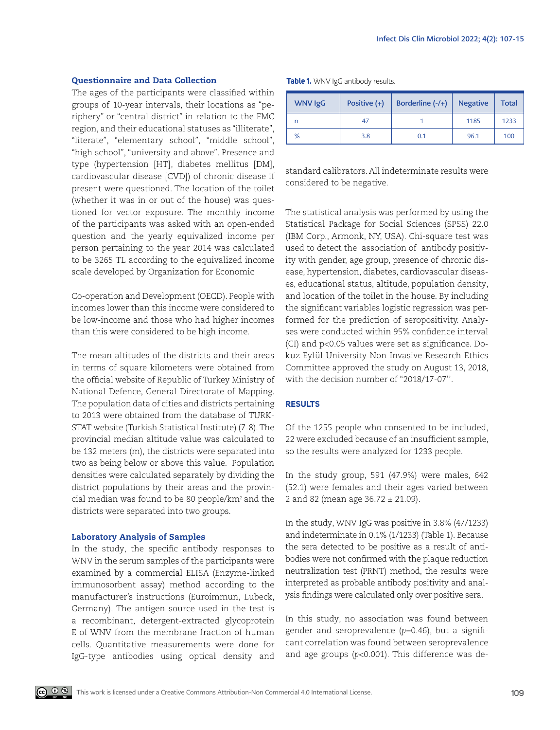## Questionnaire and Data Collection

The ages of the participants were classified within groups of 10-year intervals, their locations as "periphery" or "central district" in relation to the FMC region, and their educational statuses as "illiterate", "literate", "elementary school", "middle school", "high school", "university and above". Presence and type (hypertension [HT], diabetes mellitus [DM], cardiovascular disease [CVD]) of chronic disease if present were questioned. The location of the toilet (whether it was in or out of the house) was questioned for vector exposure. The monthly income of the participants was asked with an open-ended question and the yearly equivalized income per person pertaining to the year 2014 was calculated to be 3265 TL according to the equivalized income scale developed by Organization for Economic

Co-operation and Development (OECD). People with incomes lower than this income were considered to be low-income and those who had higher incomes than this were considered to be high income.

The mean altitudes of the districts and their areas in terms of square kilometers were obtained from the official website of Republic of Turkey Ministry of National Defence, General Directorate of Mapping. The population data of cities and districts pertaining to 2013 were obtained from the database of TURK-STAT website (Turkish Statistical Institute) (7-8). The provincial median altitude value was calculated to be 132 meters (m), the districts were separated into two as being below or above this value. Population densities were calculated separately by dividing the district populations by their areas and the provincial median was found to be 80 people/km2 and the districts were separated into two groups.

### Laboratory Analysis of Samples

In the study, the specific antibody responses to WNV in the serum samples of the participants were examined by a commercial ELISA (Enzyme-linked immunosorbent assay) method according to the manufacturer's instructions (Euroimmun, Lubeck, Germany). The antigen source used in the test is a recombinant, detergent-extracted glycoprotein E of WNV from the membrane fraction of human cells. Quantitative measurements were done for IgG-type antibodies using optical density and

| <b>WNV IgG</b> | Positive $(+)$ | Borderline $(-/+)$ | <b>Negative</b> | <b>Total</b> |
|----------------|----------------|--------------------|-----------------|--------------|
| n              | 47             |                    | 1185            | 1233         |
| $\%$           | 3.8            | 0.1                | 96.1            | 100          |

**Table 1.** WNV IgG antibody results.

standard calibrators. All indeterminate results were considered to be negative.

The statistical analysis was performed by using the Statistical Package for Social Sciences (SPSS) 22.0 (IBM Corp., Armonk, NY, USA). Chi-square test was used to detect the association of antibody positivity with gender, age group, presence of chronic disease, hypertension, diabetes, cardiovascular diseases, educational status, altitude, population density, and location of the toilet in the house. By including the significant variables logistic regression was performed for the prediction of seropositivity. Analyses were conducted within 95% confidence interval (CI) and p<0.05 values were set as significance. Dokuz Eylül University Non-Invasive Research Ethics Committee approved the study on August 13, 2018, with the decision number of "2018/17-07".

# **RESULTS**

Of the 1255 people who consented to be included, 22 were excluded because of an insufficient sample, so the results were analyzed for 1233 people.

In the study group, 591 (47.9%) were males, 642 (52.1) were females and their ages varied between 2 and 82 (mean age 36.72 ± 21.09).

In the study, WNV IgG was positive in 3.8% (47/1233) and indeterminate in 0.1% (1/1233) (Table 1). Because the sera detected to be positive as a result of antibodies were not confirmed with the plaque reduction neutralization test (PRNT) method, the results were interpreted as probable antibody positivity and analysis findings were calculated only over positive sera.

In this study, no association was found between gender and seroprevalence (*p*=0.46), but a significant correlation was found between seroprevalence and age groups (*p*<0.001). This difference was de-

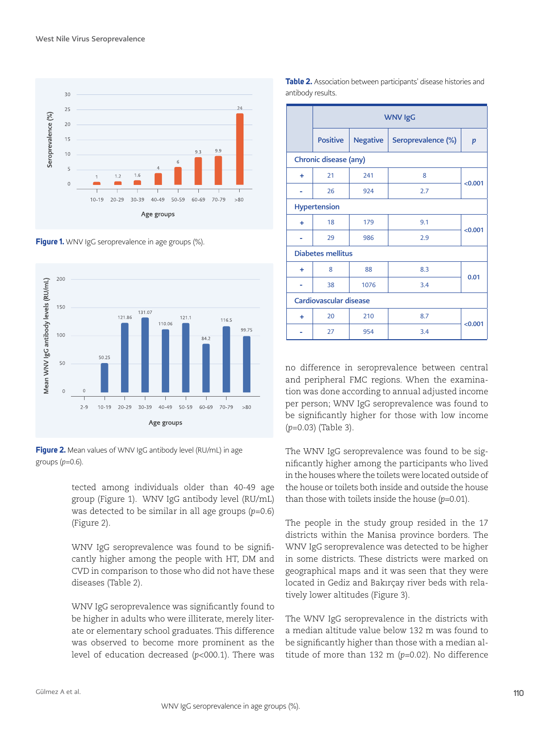

**Figure 1.** WNV IgG seroprevalence in age groups (%).





tected among individuals older than 40-49 age group (Figure 1). WNV IgG antibody level (RU/mL) was detected to be similar in all age groups (*p*=0.6) (Figure 2).

WNV IgG seroprevalence was found to be significantly higher among the people with HT, DM and CVD in comparison to those who did not have these diseases (Table 2).

WNV IgG seroprevalence was significantly found to be higher in adults who were illiterate, merely literate or elementary school graduates. This difference was observed to become more prominent as the level of education decreased (*p*<000.1). There was

|                          | <b>WNV IgG</b>  |                 |                    |         |  |  |  |  |
|--------------------------|-----------------|-----------------|--------------------|---------|--|--|--|--|
|                          | <b>Positive</b> | <b>Negative</b> | Seroprevalence (%) | p       |  |  |  |  |
| Chronic disease (any)    |                 |                 |                    |         |  |  |  |  |
| ٠                        | 21              | 241             | 8                  |         |  |  |  |  |
|                          | 26              | 924             | 2.7                | < 0.001 |  |  |  |  |
| <b>Hypertension</b>      |                 |                 |                    |         |  |  |  |  |
| ÷                        | 18              | 179             | 9.1                | < 0.001 |  |  |  |  |
|                          | 29              | 986             | 2.9                |         |  |  |  |  |
| <b>Diabetes mellitus</b> |                 |                 |                    |         |  |  |  |  |
| ٠                        | 8               | 88              | 8.3                |         |  |  |  |  |
|                          | 38              | 1076            | 3.4                | 0.01    |  |  |  |  |
| Cardiovascular disease   |                 |                 |                    |         |  |  |  |  |
| ÷                        | 20              | 210             | 8.7                | < 0.001 |  |  |  |  |
|                          | 27              | 954             | 3.4                |         |  |  |  |  |

**Table 2.** Association between participants' disease histories and

antibody results.

no difference in seroprevalence between central and peripheral FMC regions. When the examination was done according to annual adjusted income per person; WNV IgG seroprevalence was found to be significantly higher for those with low income (*p*=0.03) (Table 3).

The WNV IgG seroprevalence was found to be significantly higher among the participants who lived in the houses where the toilets were located outside of the house or toilets both inside and outside the house than those with toilets inside the house (*p*=0.01).

The people in the study group resided in the 17 districts within the Manisa province borders. The WNV IgG seroprevalence was detected to be higher in some districts. These districts were marked on geographical maps and it was seen that they were located in Gediz and Bakırçay river beds with relatively lower altitudes (Figure 3).

The WNV IgG seroprevalence in the districts with a median altitude value below 132 m was found to be significantly higher than those with a median altitude of more than 132 m (*p*=0.02). No difference

Gülmez A et al.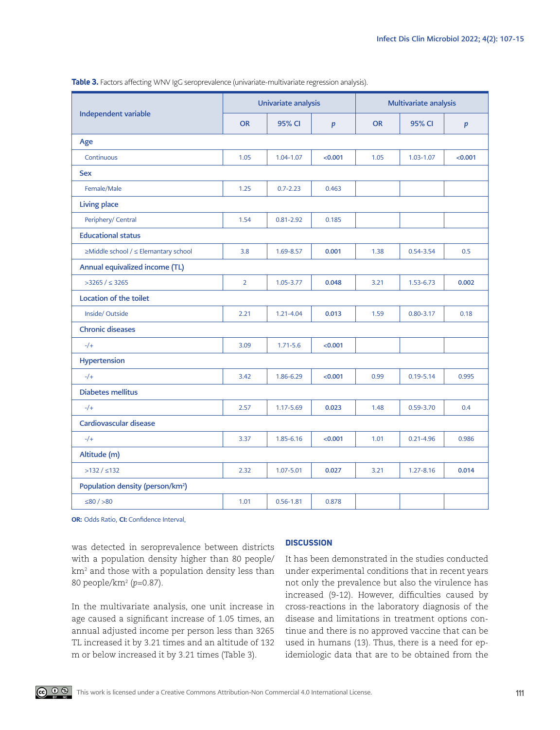|                                              | Univariate analysis |               |                  | Multivariate analysis |               |                  |  |  |
|----------------------------------------------|---------------------|---------------|------------------|-----------------------|---------------|------------------|--|--|
| Independent variable                         | <b>OR</b>           | 95% CI        | $\boldsymbol{p}$ | <b>OR</b>             | 95% CI        | $\boldsymbol{p}$ |  |  |
| Age                                          |                     |               |                  |                       |               |                  |  |  |
| Continuous                                   | 1.05                | 1.04-1.07     | < 0.001          | 1.05                  | $1.03 - 1.07$ | < 0.001          |  |  |
| <b>Sex</b>                                   |                     |               |                  |                       |               |                  |  |  |
| Female/Male                                  | 1.25                | $0.7 - 2.23$  | 0.463            |                       |               |                  |  |  |
| <b>Living place</b>                          |                     |               |                  |                       |               |                  |  |  |
| Periphery/ Central                           | 1.54                | $0.81 - 2.92$ | 0.185            |                       |               |                  |  |  |
| <b>Educational status</b>                    |                     |               |                  |                       |               |                  |  |  |
| ≥Middle school / ≤ Elemantary school         | 3.8                 | 1.69-8.57     | 0.001            | 1.38                  | 0.54-3.54     | 0.5              |  |  |
| Annual equivalized income (TL)               |                     |               |                  |                       |               |                  |  |  |
| $>3265 / \leq 3265$                          | $\overline{2}$      | 1.05-3.77     | 0.048            | 3.21                  | 1.53-6.73     | 0.002            |  |  |
| Location of the toilet                       |                     |               |                  |                       |               |                  |  |  |
| Inside/Outside                               | 2.21                | 1.21-4.04     | 0.013            | 1.59                  | $0.80 - 3.17$ | 0.18             |  |  |
| <b>Chronic diseases</b>                      |                     |               |                  |                       |               |                  |  |  |
| $-/-$                                        | 3.09                | $1.71 - 5.6$  | < 0.001          |                       |               |                  |  |  |
| Hypertension                                 |                     |               |                  |                       |               |                  |  |  |
| $-/-$                                        | 3.42                | 1.86-6.29     | < 0.001          | 0.99                  | $0.19 - 5.14$ | 0.995            |  |  |
| <b>Diabetes mellitus</b>                     |                     |               |                  |                       |               |                  |  |  |
| $-/-$                                        | 2.57                | 1.17-5.69     | 0.023            | 1.48                  | 0.59-3.70     | 0.4              |  |  |
| Cardiovascular disease                       |                     |               |                  |                       |               |                  |  |  |
| $-/-$                                        | 3.37                | 1.85-6.16     | < 0.001          | 1.01                  | $0.21 - 4.96$ | 0.986            |  |  |
| Altitude (m)                                 |                     |               |                  |                       |               |                  |  |  |
| >132 / s132                                  | 2.32                | 1.07-5.01     | 0.027            | 3.21                  | 1.27-8.16     | 0.014            |  |  |
| Population density (person/km <sup>2</sup> ) |                     |               |                  |                       |               |                  |  |  |
| ≤80 $/$ >80                                  | 1.01                | $0.56 - 1.81$ | 0.878            |                       |               |                  |  |  |

**Table 3.** Factors affecting WNV IgG seroprevalence (univariate-multivariate regression analysis).

OR: Odds Ratio, CI: Confidence Interval,

was detected in seroprevalence between districts with a population density higher than 80 people/ km2 and those with a population density less than 80 people/km2 (*p*=0.87).

In the multivariate analysis, one unit increase in age caused a significant increase of 1.05 times, an annual adjusted income per person less than 3265 TL increased it by 3.21 times and an altitude of 132 m or below increased it by 3.21 times (Table 3).

# **DISCUSSION**

It has been demonstrated in the studies conducted under experimental conditions that in recent years not only the prevalence but also the virulence has increased (9-12). However, difficulties caused by cross-reactions in the laboratory diagnosis of the disease and limitations in treatment options continue and there is no approved vaccine that can be used in humans (13). Thus, there is a need for epidemiologic data that are to be obtained from the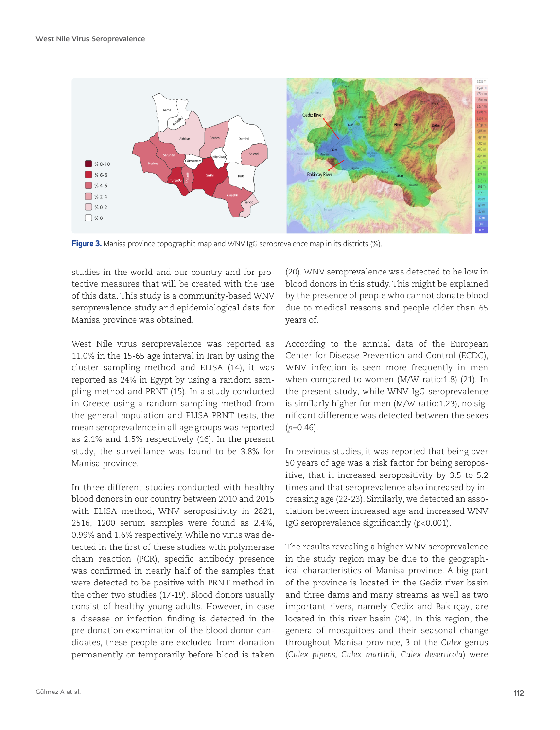

Figure 3. Manisa province topographic map and WNV IgG seroprevalence map in its districts (%).

studies in the world and our country and for protective measures that will be created with the use of this data. This study is a community-based WNV seroprevalence study and epidemiological data for Manisa province was obtained.

West Nile virus seroprevalence was reported as 11.0% in the 15-65 age interval in Iran by using the cluster sampling method and ELISA (14), it was reported as 24% in Egypt by using a random sampling method and PRNT (15). In a study conducted in Greece using a random sampling method from the general population and ELISA-PRNT tests, the mean seroprevalence in all age groups was reported as 2.1% and 1.5% respectively (16). In the present study, the surveillance was found to be 3.8% for Manisa province.

In three different studies conducted with healthy blood donors in our country between 2010 and 2015 with ELISA method, WNV seropositivity in 2821, 2516, 1200 serum samples were found as 2.4%, 0.99% and 1.6% respectively. While no virus was detected in the first of these studies with polymerase chain reaction (PCR), specific antibody presence was confirmed in nearly half of the samples that were detected to be positive with PRNT method in the other two studies (17-19). Blood donors usually consist of healthy young adults. However, in case a disease or infection finding is detected in the pre-donation examination of the blood donor candidates, these people are excluded from donation permanently or temporarily before blood is taken (20). WNV seroprevalence was detected to be low in blood donors in this study. This might be explained by the presence of people who cannot donate blood due to medical reasons and people older than 65 years of.

According to the annual data of the European Center for Disease Prevention and Control (ECDC), WNV infection is seen more frequently in men when compared to women (M/W ratio:1.8) (21). In the present study, while WNV IgG seroprevalence is similarly higher for men (M/W ratio:1.23), no significant difference was detected between the sexes  $(p=0.46)$ .

In previous studies, it was reported that being over 50 years of age was a risk factor for being seropositive, that it increased seropositivity by 3.5 to 5.2 times and that seroprevalence also increased by increasing age (22-23). Similarly, we detected an association between increased age and increased WNV IgG seroprevalence significantly (*p*<0.001).

The results revealing a higher WNV seroprevalence in the study region may be due to the geographical characteristics of Manisa province. A big part of the province is located in the Gediz river basin and three dams and many streams as well as two important rivers, namely Gediz and Bakırçay, are located in this river basin (24). In this region, the genera of mosquitoes and their seasonal change throughout Manisa province, 3 of the *Culex* genus (*Culex pipens, Culex martinii, Culex deserticola*) were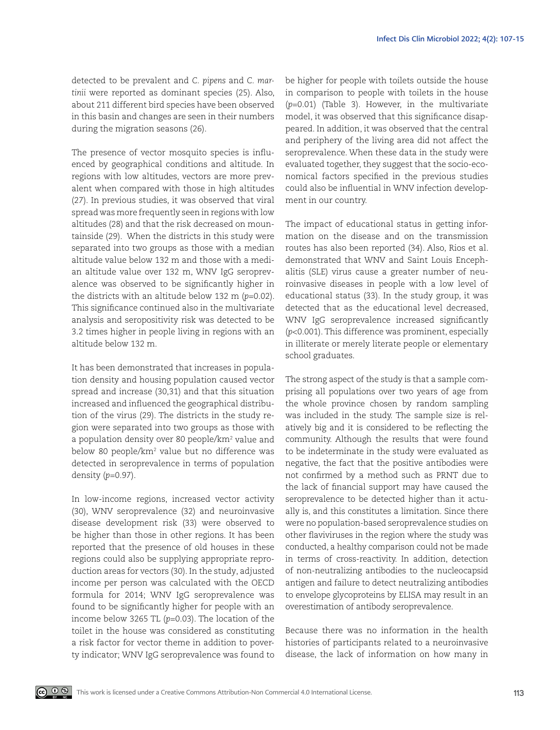detected to be prevalent and *C. pipens* and *C. martinii* were reported as dominant species (25). Also, about 211 different bird species have been observed in this basin and changes are seen in their numbers during the migration seasons (26).

The presence of vector mosquito species is influenced by geographical conditions and altitude. In regions with low altitudes, vectors are more prevalent when compared with those in high altitudes (27). In previous studies, it was observed that viral spread was more frequently seen in regions with low altitudes (28) and that the risk decreased on mountainside (29). When the districts in this study were separated into two groups as those with a median altitude value below 132 m and those with a median altitude value over 132 m, WNV IgG seroprevalence was observed to be significantly higher in the districts with an altitude below 132 m (*p*=0.02). This significance continued also in the multivariate analysis and seropositivity risk was detected to be 3.2 times higher in people living in regions with an altitude below 132 m.

It has been demonstrated that increases in population density and housing population caused vector spread and increase (30,31) and that this situation increased and influenced the geographical distribution of the virus (29). The districts in the study region were separated into two groups as those with a population density over 80 people/km<sup>2</sup> value and below 80 people/km<sup>2</sup> value but no difference was detected in seroprevalence in terms of population density (*p*=0.97).

In low-income regions, increased vector activity (30), WNV seroprevalence (32) and neuroinvasive disease development risk (33) were observed to be higher than those in other regions. It has been reported that the presence of old houses in these regions could also be supplying appropriate reproduction areas for vectors (30). In the study, adjusted income per person was calculated with the OECD formula for 2014; WNV IgG seroprevalence was found to be significantly higher for people with an income below 3265 TL (*p*=0.03). The location of the toilet in the house was considered as constituting a risk factor for vector theme in addition to poverty indicator; WNV IgG seroprevalence was found to

be higher for people with toilets outside the house in comparison to people with toilets in the house (*p*=0.01) (Table 3). However, in the multivariate model, it was observed that this significance disappeared. In addition, it was observed that the central and periphery of the living area did not affect the seroprevalence. When these data in the study were evaluated together, they suggest that the socio-economical factors specified in the previous studies could also be influential in WNV infection development in our country.

The impact of educational status in getting information on the disease and on the transmission routes has also been reported (34). Also, Rios et al. demonstrated that WNV and Saint Louis Encephalitis (SLE) virus cause a greater number of neuroinvasive diseases in people with a low level of educational status (33). In the study group, it was detected that as the educational level decreased, WNV IgG seroprevalence increased significantly (*p*<0.001). This difference was prominent, especially in illiterate or merely literate people or elementary school graduates.

The strong aspect of the study is that a sample comprising all populations over two years of age from the whole province chosen by random sampling was included in the study. The sample size is relatively big and it is considered to be reflecting the community. Although the results that were found to be indeterminate in the study were evaluated as negative, the fact that the positive antibodies were not confirmed by a method such as PRNT due to the lack of financial support may have caused the seroprevalence to be detected higher than it actually is, and this constitutes a limitation. Since there were no population-based seroprevalence studies on other flaviviruses in the region where the study was conducted, a healthy comparison could not be made in terms of cross-reactivity. In addition, detection of non-neutralizing antibodies to the nucleocapsid antigen and failure to detect neutralizing antibodies to envelope glycoproteins by ELISA may result in an overestimation of antibody seroprevalence.

Because there was no information in the health histories of participants related to a neuroinvasive disease, the lack of information on how many in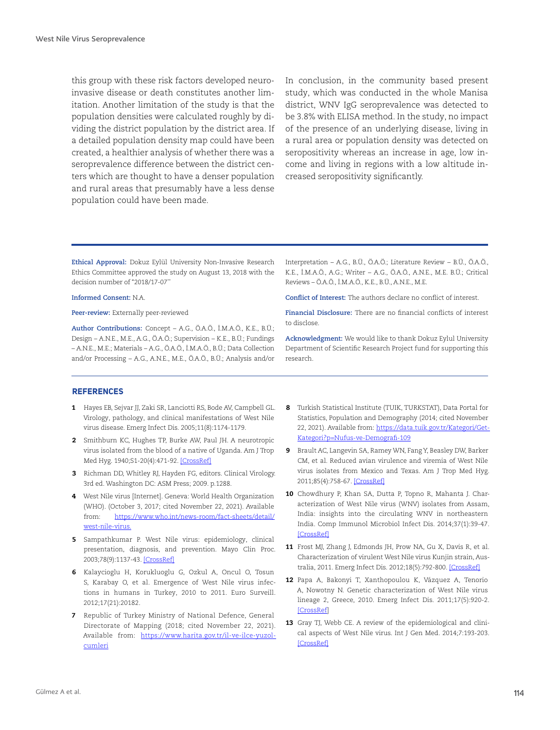this group with these risk factors developed neuroinvasive disease or death constitutes another limitation. Another limitation of the study is that the population densities were calculated roughly by dividing the district population by the district area. If a detailed population density map could have been created, a healthier analysis of whether there was a seroprevalence difference between the district centers which are thought to have a denser population and rural areas that presumably have a less dense population could have been made.

In conclusion, in the community based present study, which was conducted in the whole Manisa district, WNV IgG seroprevalence was detected to be 3.8% with ELISA method. In the study, no impact of the presence of an underlying disease, living in a rural area or population density was detected on seropositivity whereas an increase in age, low income and living in regions with a low altitude increased seropositivity significantly.

**Ethical Approval:** Dokuz Eylül University Non-Invasive Research Ethics Committee approved the study on August 13, 2018 with the decision number of "2018/17-07"

#### **Informed Consent:** N.A.

**Peer-review:** Externally peer-reviewed

**Author Contributions:** Concept – A.G., Ö.A.Ö., İ.M.A.Ö., K.E., B.Ü.; Design – A.N.E., M.E., A.G., Ö.A.Ö.; Supervision – K.E., B.Ü.; Fundings – A.N.E., M.E.; Materials – A.G., Ö.A.Ö., İ.M.A.Ö., B.Ü.; Data Collection and/or Processing – A.G., A.N.E., M.E., Ö.A.Ö., B.Ü.; Analysis and/or Interpretation – A.G., B.Ü., Ö.A.Ö.; Literature Review – B.Ü., Ö.A.Ö., K.E., İ.M.A.Ö., A.G.; Writer – A.G., Ö.A.Ö., A.N.E., M.E. B.Ü.; Critical Reviews – Ö.A.Ö., İ.M.A.Ö., K.E., B.Ü., A.N.E., M.E.

**Conflict of Interest:** The authors declare no conflict of interest.

**Financial Disclosure:** There are no financial conflicts of interest to disclose.

**Acknowledgment:** We would like to thank Dokuz Eylul University Department of Scientific Research Project fund for supporting this research.

#### **REFERENCES**

- 1 Hayes EB, Sejvar JJ, Zaki SR, Lanciotti RS, Bode AV, Campbell GL. Virology, pathology, and clinical manifestations of West Nile virus disease. Emerg Infect Dis. 2005;11(8):1174-1179.
- 2 Smithburn KC, Hughes TP, Burke AW, Paul JH. A neurotropic virus isolated from the blood of a native of Uganda. Am J Trop Med Hyg. 1940;S1-20(4):471-92. [\[CrossRef\]](https://doi.org/10.4269/ajtmh.1940.s1-20.471)
- 3 Richman DD, Whitley RJ, Hayden FG, editors. Clinical Virology. 3rd ed. Washington DC: ASM Press; 2009. p.1288.
- 4 West Nile virus [Internet]. Geneva: World Health Organization (WHO). (October 3, 2017; cited November 22, 2021). Available from: [https://www.who.int/news-room/fact-sheets/detail/](https://www.who.int/news-room/fact-sheets/detail/west-nile-virus) [west-nile-virus](https://www.who.int/news-room/fact-sheets/detail/west-nile-virus).
- 5 Sampathkumar P. West Nile virus: epidemiology, clinical presentation, diagnosis, and prevention. Mayo Clin Proc. 2003;78(9):1137-43. [\[CrossRef\]](https://doi.org/10.4065/78.9.1137)
- 6 Kalaycioglu H, Korukluoglu G, Ozkul A, Oncul O, Tosun S, Karabay O, et al. Emergence of West Nile virus infections in humans in Turkey, 2010 to 2011. Euro Surveill. 2012;17(21):20182.
- 7 Republic of Turkey Ministry of National Defence, General Directorate of Mapping (2018; cited November 22, 2021). Available from: [https://www.harita.gov.tr/il-ve-ilce-yuzol](https://www.harita.gov.tr/il-ve-ilce-yuzolcumleri)[cumleri](https://www.harita.gov.tr/il-ve-ilce-yuzolcumleri)
- 8 Turkish Statistical Institute (TUIK, TURKSTAT), Data Portal for Statistics, Population and Demography (2014; cited November 22, 2021). Available from: [https://data.tuik.gov.tr/Kategori/Get-](https://data.tuik.gov.tr/Kategori/GetKategori?p=Nufus-ve-Demografi-109)[Kategori?p=Nufus-ve-Demografi-109](https://data.tuik.gov.tr/Kategori/GetKategori?p=Nufus-ve-Demografi-109)
- 9 Brault AC, Langevin SA, Ramey WN, Fang Y, Beasley DW, Barker CM, et al. Reduced avian virulence and viremia of West Nile virus isolates from Mexico and Texas. Am J Trop Med Hyg. 2011;85(4):758-67. [\[CrossRef\]](https://doi.org/10.4269/ajtmh.2011.10-0439)
- 10 Chowdhury P, Khan SA, Dutta P, Topno R, Mahanta J. Characterization of West Nile virus (WNV) isolates from Assam, India: insights into the circulating WNV in northeastern India. Comp Immunol Microbiol Infect Dis. 2014;37(1):39-47. [\[CrossRef](https://doi.org/10.1016/j.cimid.2013.10.006)]
- 11 Frost MJ, Zhang J, Edmonds JH, Prow NA, Gu X, Davis R, et al. Characterization of virulent West Nile virus Kunjin strain, Australia, 2011. Emerg Infect Dis. 2012;18(5):792-800. [\[CrossRef](https://doi.org/10.3201/eid1805.111720)]
- 12 Papa A, Bakonyi T, Xanthopoulou K, Vázquez A, Tenorio A, Nowotny N. Genetic characterization of West Nile virus lineage 2, Greece, 2010. Emerg Infect Dis. 2011;17(5):920-2. [\[CrossRef](https://doi.org/10.3201/eid1705.101759)]
- 13 Gray TJ, Webb CE. A review of the epidemiological and clinical aspects of West Nile virus. Int J Gen Med. 2014;7:193-203. [\[CrossRef](https://doi.org/10.2147/IJGM.S59902)]